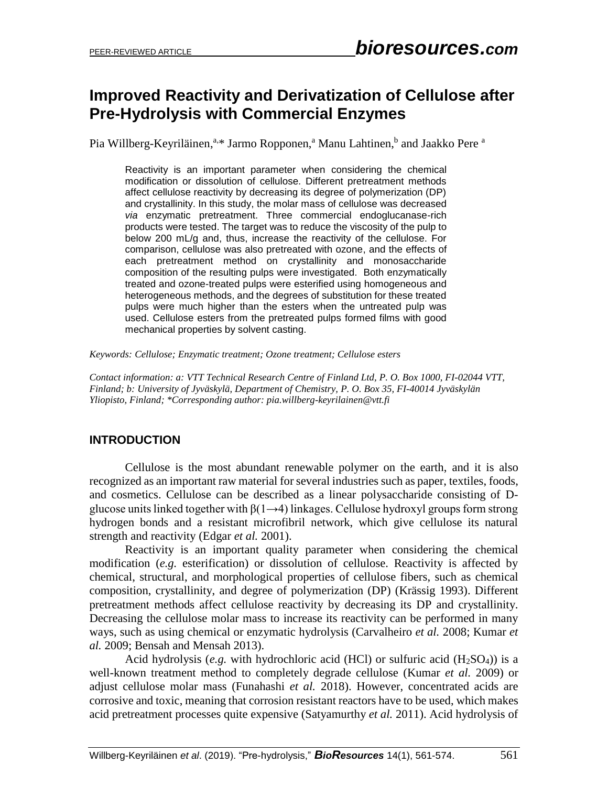# **Improved Reactivity and Derivatization of Cellulose after Pre-Hydrolysis with Commercial Enzymes**

Pia Willberg-Keyriläinen,<sup>a,\*</sup> Jarmo Ropponen,<sup>a</sup> Manu Lahtinen,<sup>b</sup> and Jaakko Pere <sup>a</sup>

Reactivity is an important parameter when considering the chemical modification or dissolution of cellulose. Different pretreatment methods affect cellulose reactivity by decreasing its degree of polymerization (DP) and crystallinity. In this study, the molar mass of cellulose was decreased *via* enzymatic pretreatment. Three commercial endoglucanase-rich products were tested. The target was to reduce the viscosity of the pulp to below 200 mL/g and, thus, increase the reactivity of the cellulose. For comparison, cellulose was also pretreated with ozone, and the effects of each pretreatment method on crystallinity and monosaccharide composition of the resulting pulps were investigated. Both enzymatically treated and ozone-treated pulps were esterified using homogeneous and heterogeneous methods, and the degrees of substitution for these treated pulps were much higher than the esters when the untreated pulp was used. Cellulose esters from the pretreated pulps formed films with good mechanical properties by solvent casting.

*Keywords: Cellulose; Enzymatic treatment; Ozone treatment; Cellulose esters*

*Contact information: a: VTT Technical Research Centre of Finland Ltd, P. O. Box 1000, FI-02044 VTT, Finland; b: University of Jyväskylä, Department of Chemistry, P. O. Box 35, FI-40014 Jyväskylän Yliopisto, Finland; \*Corresponding author[: pia.willberg-keyrilainen@vtt.fi](mailto:pia.willberg-keyrilainen@vtt.fi)*

# **INTRODUCTION**

Cellulose is the most abundant renewable polymer on the earth, and it is also recognized as an important raw material for several industries such as paper, textiles, foods, and cosmetics. Cellulose can be described as a linear polysaccharide consisting of Dglucose units linked together with  $\beta(1\rightarrow 4)$  linkages. Cellulose hydroxyl groups form strong hydrogen bonds and a resistant microfibril network, which give cellulose its natural strength and reactivity (Edgar *et al.* 2001).

Reactivity is an important quality parameter when considering the chemical modification (*e.g.* esterification) or dissolution of cellulose. Reactivity is affected by chemical, structural, and morphological properties of cellulose fibers, such as chemical composition, crystallinity, and degree of polymerization (DP) (Krässig 1993). Different pretreatment methods affect cellulose reactivity by decreasing its DP and crystallinity. Decreasing the cellulose molar mass to increase its reactivity can be performed in many ways, such as using chemical or enzymatic hydrolysis (Carvalheiro *et al.* 2008; Kumar *et al.* 2009; Bensah and Mensah 2013).

Acid hydrolysis (*e.g.* with hydrochloric acid (HCl) or sulfuric acid  $(H_2SO_4)$ ) is a well-known treatment method to completely degrade cellulose (Kumar *et al.* 2009) or adjust cellulose molar mass (Funahashi *et al.* 2018). However, concentrated acids are corrosive and toxic, meaning that corrosion resistant reactors have to be used, which makes acid pretreatment processes quite expensive (Satyamurthy *et al.* 2011). Acid hydrolysis of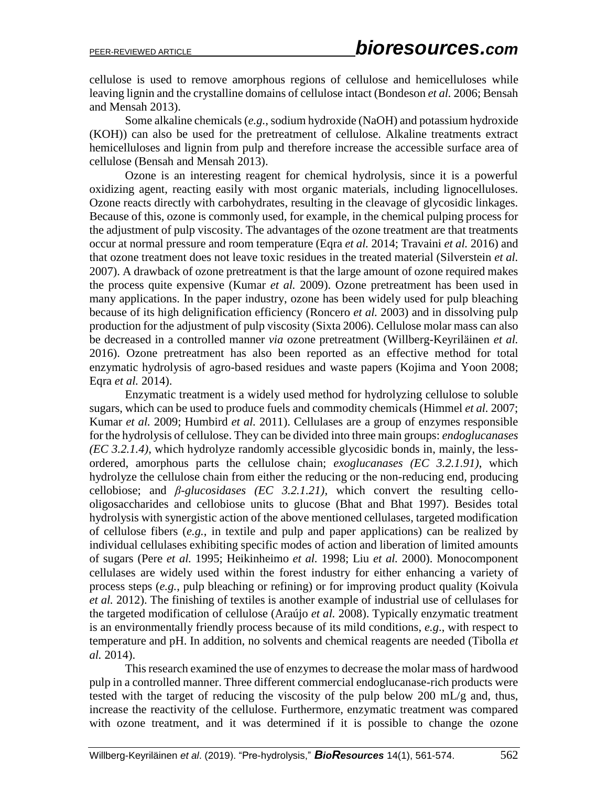cellulose is used to remove amorphous regions of cellulose and hemicelluloses while leaving lignin and the crystalline domains of cellulose intact (Bondeson *et al.* 2006; Bensah and Mensah 2013).

Some alkaline chemicals (*e.g.*, sodium hydroxide (NaOH) and potassium hydroxide (KOH)) can also be used for the pretreatment of cellulose. Alkaline treatments extract hemicelluloses and lignin from pulp and therefore increase the accessible surface area of cellulose (Bensah and Mensah 2013).

Ozone is an interesting reagent for chemical hydrolysis, since it is a powerful oxidizing agent, reacting easily with most organic materials, including lignocelluloses. Ozone reacts directly with carbohydrates, resulting in the cleavage of glycosidic linkages. Because of this, ozone is commonly used, for example, in the chemical pulping process for the adjustment of pulp viscosity. The advantages of the ozone treatment are that treatments occur at normal pressure and room temperature (Eqra *et al.* 2014; Travaini *et al.* 2016) and that ozone treatment does not leave toxic residues in the treated material (Silverstein *et al.* 2007). A drawback of ozone pretreatment is that the large amount of ozone required makes the process quite expensive (Kumar *et al.* 2009). Ozone pretreatment has been used in many applications. In the paper industry, ozone has been widely used for pulp bleaching because of its high delignification efficiency (Roncero *et al.* 2003) and in dissolving pulp production for the adjustment of pulp viscosity (Sixta 2006). Cellulose molar mass can also be decreased in a controlled manner *via* ozone pretreatment (Willberg-Keyriläinen *et al.* 2016). Ozone pretreatment has also been reported as an effective method for total enzymatic hydrolysis of agro-based residues and waste papers (Kojima and Yoon 2008; Eqra *et al.* 2014).

Enzymatic treatment is a widely used method for hydrolyzing cellulose to soluble sugars, which can be used to produce fuels and commodity chemicals (Himmel *et al.* 2007; Kumar *et al.* 2009; Humbird *et al.* 2011). Cellulases are a group of enzymes responsible for the hydrolysis of cellulose. They can be divided into three main groups: *endoglucanases (EC 3.2.1.4)*, which hydrolyze randomly accessible glycosidic bonds in, mainly, the lessordered, amorphous parts the cellulose chain; *exoglucanases (EC 3.2.1.91)*, which hydrolyze the cellulose chain from either the reducing or the non-reducing end, producing cellobiose; and *β-glucosidases (EC 3.2.1.21)*, which convert the resulting cellooligosaccharides and cellobiose units to glucose (Bhat and Bhat 1997). Besides total hydrolysis with synergistic action of the above mentioned cellulases, targeted modification of cellulose fibers (*e.g.*, in textile and pulp and paper applications) can be realized by individual cellulases exhibiting specific modes of action and liberation of limited amounts of sugars (Pere *et al.* 1995; Heikinheimo *et al.* 1998; Liu *et al.* 2000). Monocomponent cellulases are widely used within the forest industry for either enhancing a variety of process steps (*e.g.*, pulp bleaching or refining) or for improving product quality (Koivula *et al.* 2012). The finishing of textiles is another example of industrial use of cellulases for the targeted modification of cellulose (Araújo *et al.* 2008). Typically enzymatic treatment is an environmentally friendly process because of its mild conditions, *e.g*., with respect to temperature and pH. In addition, no solvents and chemical reagents are needed (Tibolla *et al.* 2014).

This research examined the use of enzymes to decrease the molar mass of hardwood pulp in a controlled manner. Three different commercial endoglucanase-rich products were tested with the target of reducing the viscosity of the pulp below 200 mL/g and, thus, increase the reactivity of the cellulose. Furthermore, enzymatic treatment was compared with ozone treatment, and it was determined if it is possible to change the ozone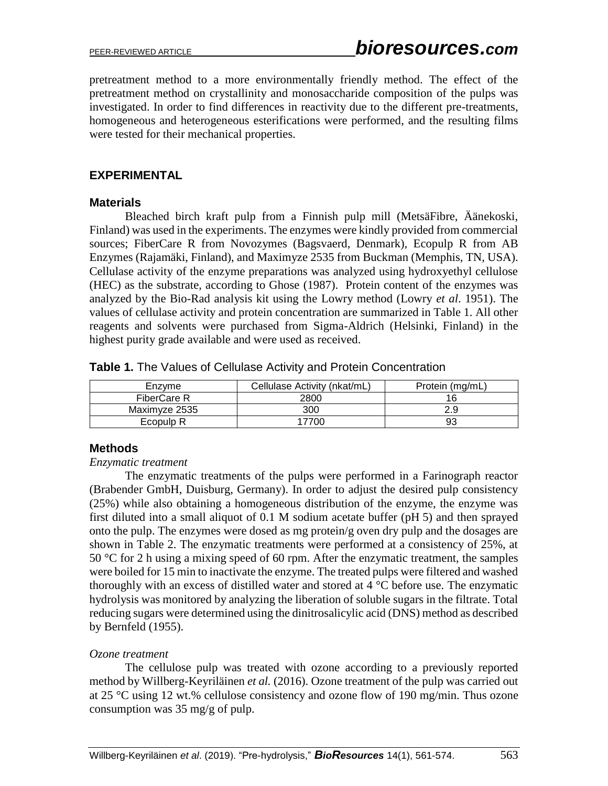pretreatment method to a more environmentally friendly method. The effect of the pretreatment method on crystallinity and monosaccharide composition of the pulps was investigated. In order to find differences in reactivity due to the different pre-treatments, homogeneous and heterogeneous esterifications were performed, and the resulting films were tested for their mechanical properties.

# **EXPERIMENTAL**

#### **Materials**

Bleached birch kraft pulp from a Finnish pulp mill (MetsäFibre, Äänekoski, Finland) was used in the experiments. The enzymes were kindly provided from commercial sources; FiberCare R from Novozymes (Bagsvaerd, Denmark), Ecopulp R from AB Enzymes (Rajamäki, Finland), and Maximyze 2535 from Buckman (Memphis, TN, USA). Cellulase activity of the enzyme preparations was analyzed using hydroxyethyl cellulose (HEC) as the substrate, according to Ghose (1987). Protein content of the enzymes was analyzed by the Bio-Rad analysis kit using the Lowry method (Lowry *et al*. 1951). The values of cellulase activity and protein concentration are summarized in Table 1. All other reagents and solvents were purchased from Sigma-Aldrich (Helsinki, Finland) in the highest purity grade available and were used as received.

| Table 1. The Values of Cellulase Activity and Protein Concentration |  |  |  |  |
|---------------------------------------------------------------------|--|--|--|--|
|---------------------------------------------------------------------|--|--|--|--|

| Enzyme        | Cellulase Activity (nkat/mL) | Protein (mg/mL) |
|---------------|------------------------------|-----------------|
| FiberCare R   | 2800                         |                 |
| Maximyze 2535 | 300                          |                 |
| Ecopulp R     | 7700                         |                 |

# **Methods**

#### *Enzymatic treatment*

The enzymatic treatments of the pulps were performed in a Farinograph reactor (Brabender GmbH, Duisburg, Germany). In order to adjust the desired pulp consistency (25%) while also obtaining a homogeneous distribution of the enzyme, the enzyme was first diluted into a small aliquot of 0.1 M sodium acetate buffer (pH 5) and then sprayed onto the pulp. The enzymes were dosed as mg protein/g oven dry pulp and the dosages are shown in Table 2. The enzymatic treatments were performed at a consistency of 25%, at 50 °C for 2 h using a mixing speed of 60 rpm. After the enzymatic treatment, the samples were boiled for 15 min to inactivate the enzyme. The treated pulps were filtered and washed thoroughly with an excess of distilled water and stored at 4 °C before use. The enzymatic hydrolysis was monitored by analyzing the liberation of soluble sugars in the filtrate. Total reducing sugars were determined using the dinitrosalicylic acid (DNS) method as described by Bernfeld (1955).

# *Ozone treatment*

The cellulose pulp was treated with ozone according to a previously reported method by Willberg-Keyriläinen *et al.* (2016). Ozone treatment of the pulp was carried out at 25 °C using 12 wt.% cellulose consistency and ozone flow of 190 mg/min. Thus ozone consumption was 35 mg/g of pulp.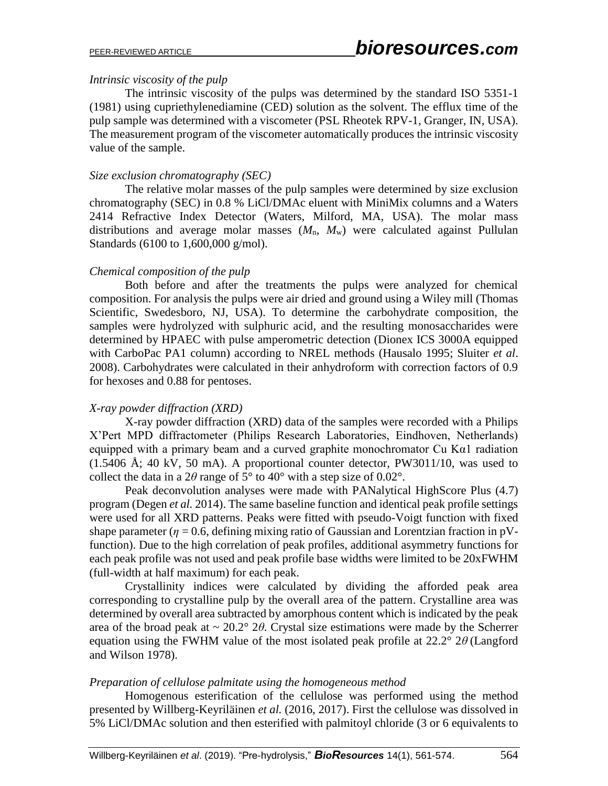# *Intrinsic viscosity of the pulp*

The intrinsic viscosity of the pulps was determined by the standard ISO 5351-1 (1981) using cupriethylenediamine (CED) solution as the solvent. The efflux time of the pulp sample was determined with a viscometer (PSL Rheotek RPV-1, Granger, IN, USA). The measurement program of the viscometer automatically produces the intrinsic viscosity value of the sample.

# *Size exclusion chromatography (SEC)*

The relative molar masses of the pulp samples were determined by size exclusion chromatography (SEC) in 0.8 % LiCl/DMAc eluent with MiniMix columns and a Waters 2414 Refractive Index Detector (Waters, Milford, MA, USA). The molar mass distributions and average molar masses  $(M_n, M_w)$  were calculated against Pullulan Standards (6100 to 1,600,000 g/mol).

# *Chemical composition of the pulp*

Both before and after the treatments the pulps were analyzed for chemical composition. For analysis the pulps were air dried and ground using a Wiley mill (Thomas Scientific, Swedesboro, NJ, USA). To determine the carbohydrate composition, the samples were hydrolyzed with sulphuric acid, and the resulting monosaccharides were determined by HPAEC with pulse amperometric detection (Dionex ICS 3000A equipped with CarboPac PA1 column) according to NREL methods (Hausalo 1995; Sluiter *et al*. 2008). Carbohydrates were calculated in their anhydroform with correction factors of 0.9 for hexoses and 0.88 for pentoses.

# *X-ray powder diffraction (XRD)*

X-ray powder diffraction (XRD) data of the samples were recorded with a Philips X'Pert MPD diffractometer (Philips Research Laboratories, Eindhoven, Netherlands) equipped with a primary beam and a curved graphite monochromator Cu Kα1 radiation  $(1.5406 \text{ Å}; 40 \text{ kV}, 50 \text{ mA})$ . A proportional counter detector, PW3011/10, was used to collect the data in a  $2\theta$  range of  $5^{\circ}$  to  $40^{\circ}$  with a step size of 0.02°.

Peak deconvolution analyses were made with PANalytical HighScore Plus (4.7) program (Degen *et al.* 2014). The same baseline function and identical peak profile settings were used for all XRD patterns. Peaks were fitted with pseudo-Voigt function with fixed shape parameter ( $\eta = 0.6$ , defining mixing ratio of Gaussian and Lorentzian fraction in pVfunction). Due to the high correlation of peak profiles, additional asymmetry functions for each peak profile was not used and peak profile base widths were limited to be 20xFWHM (full-width at half maximum) for each peak.

Crystallinity indices were calculated by dividing the afforded peak area corresponding to crystalline pulp by the overall area of the pattern. Crystalline area was determined by overall area subtracted by amorphous content which is indicated by the peak area of the broad peak at  $\sim 20.2^{\circ}$  2 $\theta$ . Crystal size estimations were made by the Scherrer equation using the FWHM value of the most isolated peak profile at 22.2° 2*θ* (Langford and Wilson 1978).

# *Preparation of cellulose palmitate using the homogeneous method*

Homogenous esterification of the cellulose was performed using the method presented by Willberg-Keyriläinen *et al.* (2016, 2017). First the cellulose was dissolved in 5% LiCl/DMAc solution and then esterified with palmitoyl chloride (3 or 6 equivalents to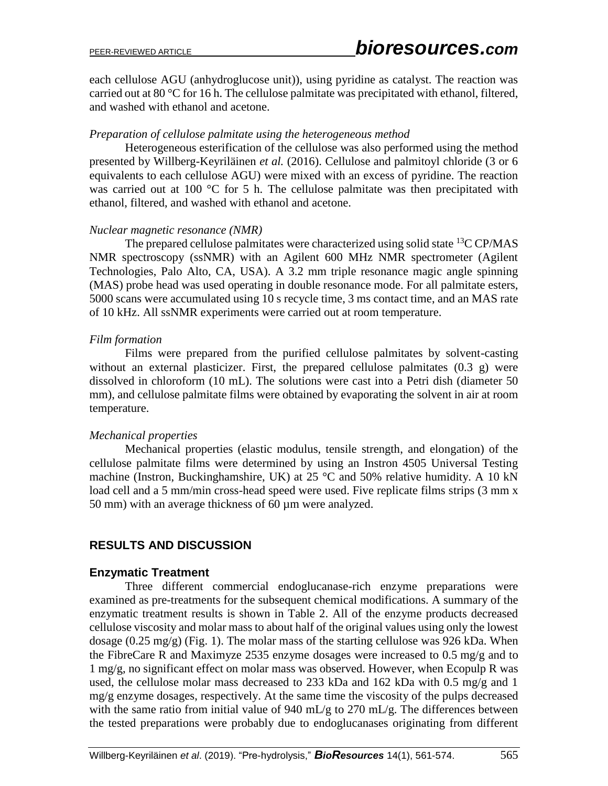each cellulose AGU (anhydroglucose unit)), using pyridine as catalyst. The reaction was carried out at 80 °C for 16 h. The cellulose palmitate was precipitated with ethanol, filtered, and washed with ethanol and acetone.

#### *Preparation of cellulose palmitate using the heterogeneous method*

Heterogeneous esterification of the cellulose was also performed using the method presented by Willberg-Keyriläinen *et al.* (2016). Cellulose and palmitoyl chloride (3 or 6 equivalents to each cellulose AGU) were mixed with an excess of pyridine. The reaction was carried out at 100 °C for 5 h. The cellulose palmitate was then precipitated with ethanol, filtered, and washed with ethanol and acetone.

#### *Nuclear magnetic resonance (NMR)*

The prepared cellulose palmitates were characterized using solid state <sup>13</sup>C CP/MAS NMR spectroscopy (ssNMR) with an Agilent 600 MHz NMR spectrometer (Agilent Technologies, Palo Alto, CA, USA). A 3.2 mm triple resonance magic angle spinning (MAS) probe head was used operating in double resonance mode. For all palmitate esters, 5000 scans were accumulated using 10 s recycle time, 3 ms contact time, and an MAS rate of 10 kHz. All ssNMR experiments were carried out at room temperature.

#### *Film formation*

Films were prepared from the purified cellulose palmitates by solvent-casting without an external plasticizer. First, the prepared cellulose palmitates (0.3 g) were dissolved in chloroform (10 mL). The solutions were cast into a Petri dish (diameter 50 mm), and cellulose palmitate films were obtained by evaporating the solvent in air at room temperature.

# *Mechanical properties*

Mechanical properties (elastic modulus, tensile strength, and elongation) of the cellulose palmitate films were determined by using an Instron 4505 Universal Testing machine (Instron, Buckinghamshire, UK) at 25 °C and 50% relative humidity. A 10 kN load cell and a 5 mm/min cross-head speed were used. Five replicate films strips (3 mm x 50 mm) with an average thickness of 60 µm were analyzed.

# **RESULTS AND DISCUSSION**

# **Enzymatic Treatment**

Three different commercial endoglucanase-rich enzyme preparations were examined as pre-treatments for the subsequent chemical modifications. A summary of the enzymatic treatment results is shown in Table 2. All of the enzyme products decreased cellulose viscosity and molar mass to about half of the original values using only the lowest dosage  $(0.25 \text{ mg/g})$  (Fig. 1). The molar mass of the starting cellulose was 926 kDa. When the FibreCare R and Maximyze 2535 enzyme dosages were increased to 0.5 mg/g and to 1 mg/g, no significant effect on molar mass was observed. However, when Ecopulp R was used, the cellulose molar mass decreased to 233 kDa and 162 kDa with 0.5 mg/g and 1 mg/g enzyme dosages, respectively. At the same time the viscosity of the pulps decreased with the same ratio from initial value of 940 mL/g to 270 mL/g. The differences between the tested preparations were probably due to endoglucanases originating from different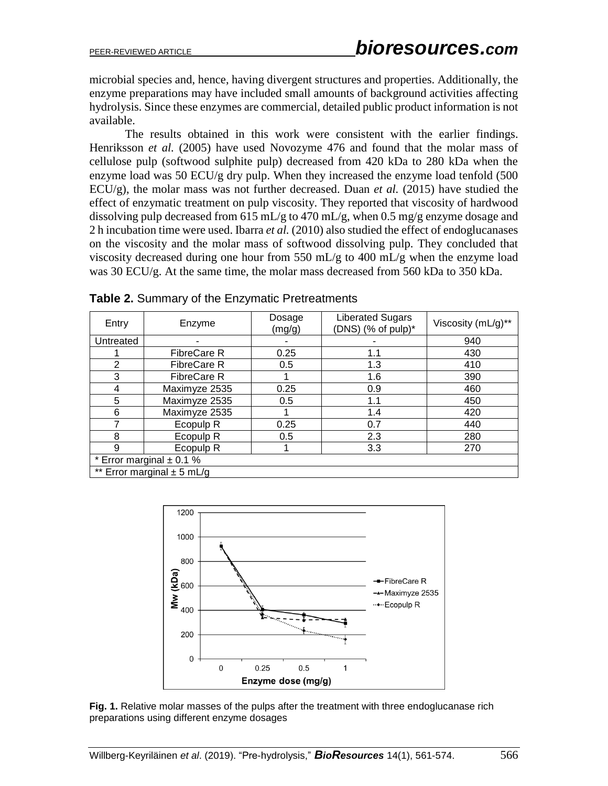microbial species and, hence, having divergent structures and properties. Additionally, the enzyme preparations may have included small amounts of background activities affecting hydrolysis. Since these enzymes are commercial, detailed public product information is not available.

The results obtained in this work were consistent with the earlier findings. Henriksson *et al.* (2005) have used Novozyme 476 and found that the molar mass of cellulose pulp (softwood sulphite pulp) decreased from 420 kDa to 280 kDa when the enzyme load was 50 ECU/g dry pulp. When they increased the enzyme load tenfold (500 ECU/g), the molar mass was not further decreased. Duan *et al.* (2015) have studied the effect of enzymatic treatment on pulp viscosity. They reported that viscosity of hardwood dissolving pulp decreased from 615 mL/g to 470 mL/g, when 0.5 mg/g enzyme dosage and 2 h incubation time were used. Ibarra *et al.* (2010) also studied the effect of endoglucanases on the viscosity and the molar mass of softwood dissolving pulp. They concluded that viscosity decreased during one hour from 550 mL/g to 400 mL/g when the enzyme load was 30 ECU/g. At the same time, the molar mass decreased from 560 kDa to 350 kDa.

| Entry                          | Enzyme                       | Dosage<br>(mg/g) | <b>Liberated Sugars</b><br>(DNS) (% of pulp)* | Viscosity (mL/g)** |  |
|--------------------------------|------------------------------|------------------|-----------------------------------------------|--------------------|--|
| Untreated                      |                              |                  |                                               | 940                |  |
|                                | <b>FibreCare R</b>           | 0.25             | 1.1                                           | 430                |  |
| $\overline{2}$                 | <b>FibreCare R</b>           | 0.5              | 1.3                                           | 410                |  |
| 3                              | FibreCare R                  |                  | 1.6                                           | 390                |  |
| 4                              | Maximyze 2535                | 0.25             | 0.9                                           | 460                |  |
| 5                              | Maximyze 2535                | 0.5              | 1.1                                           | 450                |  |
| 6                              | Maximyze 2535                |                  | 1.4                                           | 420                |  |
|                                | Ecopulp <sub>R</sub>         | 0.25             | 0.7                                           | 440                |  |
| 8                              | Ecopulp <sub>R</sub>         | 0.5              | 2.3                                           | 280                |  |
| 9                              | Ecopulp <sub>R</sub>         |                  | 3.3                                           | 270                |  |
|                                | * Error marginal $\pm$ 0.1 % |                  |                                               |                    |  |
| ** Error marginal $\pm$ 5 mL/g |                              |                  |                                               |                    |  |

**Table 2.** Summary of the Enzymatic Pretreatments



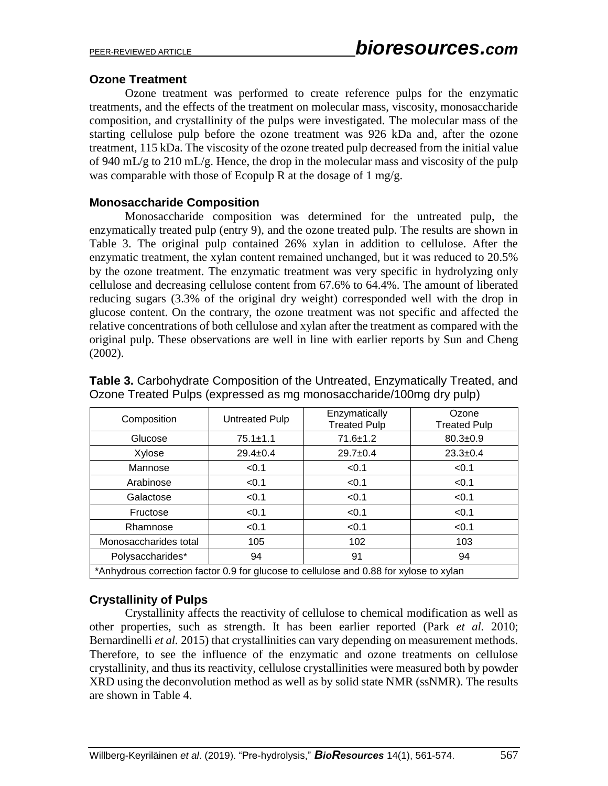# **Ozone Treatment**

Ozone treatment was performed to create reference pulps for the enzymatic treatments, and the effects of the treatment on molecular mass, viscosity, monosaccharide composition, and crystallinity of the pulps were investigated. The molecular mass of the starting cellulose pulp before the ozone treatment was 926 kDa and, after the ozone treatment, 115 kDa. The viscosity of the ozone treated pulp decreased from the initial value of 940 mL/g to 210 mL/g. Hence, the drop in the molecular mass and viscosity of the pulp was comparable with those of Ecopulp R at the dosage of  $1 \text{ mg/g}$ .

# **Monosaccharide Composition**

Monosaccharide composition was determined for the untreated pulp, the enzymatically treated pulp (entry 9), and the ozone treated pulp. The results are shown in Table 3. The original pulp contained 26% xylan in addition to cellulose. After the enzymatic treatment, the xylan content remained unchanged, but it was reduced to 20.5% by the ozone treatment. The enzymatic treatment was very specific in hydrolyzing only cellulose and decreasing cellulose content from 67.6% to 64.4%. The amount of liberated reducing sugars (3.3% of the original dry weight) corresponded well with the drop in glucose content. On the contrary, the ozone treatment was not specific and affected the relative concentrations of both cellulose and xylan after the treatment as compared with the original pulp. These observations are well in line with earlier reports by Sun and Cheng (2002).

| Composition                                                                            | Untreated Pulp | Enzymatically<br><b>Treated Pulp</b> | Ozone<br><b>Treated Pulp</b> |  |  |
|----------------------------------------------------------------------------------------|----------------|--------------------------------------|------------------------------|--|--|
| Glucose                                                                                | $75.1 \pm 1.1$ | $71.6 \pm 1.2$                       | $80.3 \pm 0.9$               |  |  |
| Xylose                                                                                 | $29.4 \pm 0.4$ | $29.7 \pm 0.4$                       | $23.3 \pm 0.4$               |  |  |
| Mannose                                                                                | < 0.1          | < 0.1                                | < 0.1                        |  |  |
| Arabinose                                                                              | < 0.1          | < 0.1                                | < 0.1                        |  |  |
| Galactose                                                                              | < 0.1          | < 0.1                                | < 0.1                        |  |  |
| Fructose                                                                               | < 0.1          | < 0.1                                | < 0.1                        |  |  |
| Rhamnose                                                                               | < 0.1          | < 0.1                                | < 0.1                        |  |  |
| Monosaccharides total                                                                  | 105            | 102                                  | 103                          |  |  |
| Polysaccharides*                                                                       | 94             | 91                                   | 94                           |  |  |
| *Anhydrous correction factor 0.9 for glucose to cellulose and 0.88 for xylose to xylan |                |                                      |                              |  |  |

**Table 3.** Carbohydrate Composition of the Untreated, Enzymatically Treated, and Ozone Treated Pulps (expressed as mg monosaccharide/100mg dry pulp)

# **Crystallinity of Pulps**

Crystallinity affects the reactivity of cellulose to chemical modification as well as other properties, such as strength. It has been earlier reported (Park *et al.* 2010; Bernardinelli *et al.* 2015) that crystallinities can vary depending on measurement methods. Therefore, to see the influence of the enzymatic and ozone treatments on cellulose crystallinity, and thus its reactivity, cellulose crystallinities were measured both by powder XRD using the deconvolution method as well as by solid state NMR (ssNMR). The results are shown in Table 4.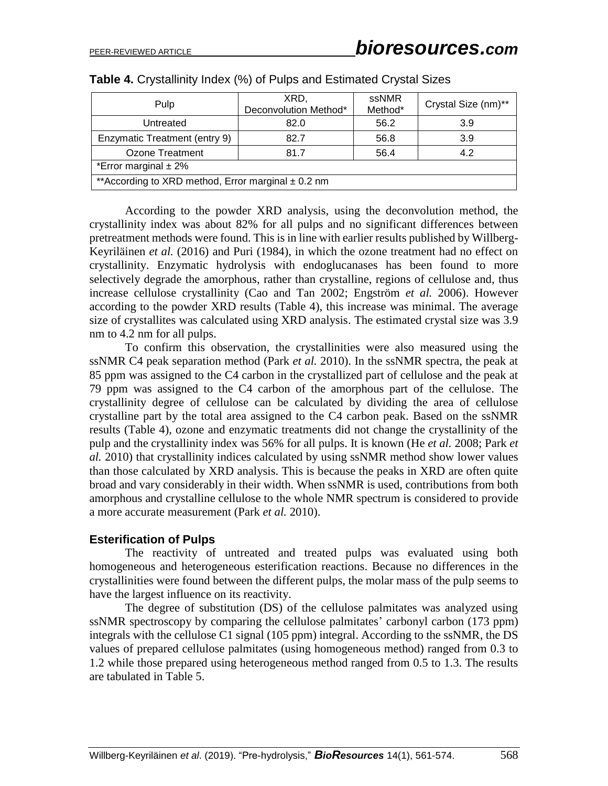| Pulp                                                    | XRD.<br>Deconvolution Method* | ssNMR<br>Method* | Crystal Size (nm)** |  |  |  |
|---------------------------------------------------------|-------------------------------|------------------|---------------------|--|--|--|
| Untreated                                               | 82.0                          | 56.2             | 3.9                 |  |  |  |
| Enzymatic Treatment (entry 9)                           | 82.7                          | 56.8             | 3.9                 |  |  |  |
| 4.2<br>Ozone Treatment<br>81.7<br>56.4                  |                               |                  |                     |  |  |  |
| *Error marginal $\pm$ 2%                                |                               |                  |                     |  |  |  |
| ** According to XRD method, Error marginal $\pm$ 0.2 nm |                               |                  |                     |  |  |  |

|  |  |  |  | <b>Table 4.</b> Crystallinity Index (%) of Pulps and Estimated Crystal Sizes |  |
|--|--|--|--|------------------------------------------------------------------------------|--|
|--|--|--|--|------------------------------------------------------------------------------|--|

According to the powder XRD analysis, using the deconvolution method, the crystallinity index was about 82% for all pulps and no significant differences between pretreatment methods were found. This is in line with earlier results published by Willberg-Keyriläinen *et al.* (2016) and Puri (1984), in which the ozone treatment had no effect on crystallinity. Enzymatic hydrolysis with endoglucanases has been found to more selectively degrade the amorphous, rather than crystalline, regions of cellulose and, thus increase cellulose crystallinity (Cao and Tan 2002; Engström *et al.* 2006). However according to the powder XRD results (Table 4), this increase was minimal. The average size of crystallites was calculated using XRD analysis. The estimated crystal size was 3.9 nm to 4.2 nm for all pulps.

To confirm this observation, the crystallinities were also measured using the ssNMR C4 peak separation method (Park *et al.* 2010). In the ssNMR spectra, the peak at 85 ppm was assigned to the C4 carbon in the crystallized part of cellulose and the peak at 79 ppm was assigned to the C4 carbon of the amorphous part of the cellulose. The crystallinity degree of cellulose can be calculated by dividing the area of cellulose crystalline part by the total area assigned to the C4 carbon peak. Based on the ssNMR results (Table 4), ozone and enzymatic treatments did not change the crystallinity of the pulp and the crystallinity index was 56% for all pulps. It is known (He *et al.* 2008; Park *et al.* 2010) that crystallinity indices calculated by using ssNMR method show lower values than those calculated by XRD analysis. This is because the peaks in XRD are often quite broad and vary considerably in their width. When ssNMR is used, contributions from both amorphous and crystalline cellulose to the whole NMR spectrum is considered to provide a more accurate measurement (Park *et al.* 2010).

#### **Esterification of Pulps**

The reactivity of untreated and treated pulps was evaluated using both homogeneous and heterogeneous esterification reactions. Because no differences in the crystallinities were found between the different pulps, the molar mass of the pulp seems to have the largest influence on its reactivity.

The degree of substitution (DS) of the cellulose palmitates was analyzed using ssNMR spectroscopy by comparing the cellulose palmitates' carbonyl carbon (173 ppm) integrals with the cellulose C1 signal (105 ppm) integral. According to the ssNMR, the DS values of prepared cellulose palmitates (using homogeneous method) ranged from 0.3 to 1.2 while those prepared using heterogeneous method ranged from 0.5 to 1.3. The results are tabulated in Table 5.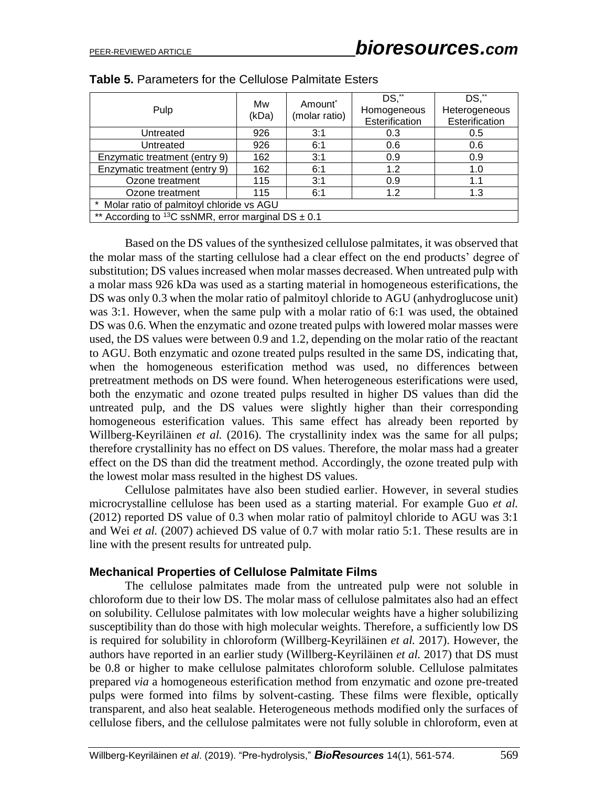| Pulp                                                     | Mw<br>(kDa) | Amount <sup>*</sup><br>(molar ratio) | DS,**<br>Homogeneous<br>Esterification | DS,**<br>Heterogeneous<br>Esterification |  |
|----------------------------------------------------------|-------------|--------------------------------------|----------------------------------------|------------------------------------------|--|
| Untreated                                                | 926         | 3:1                                  | 0.3                                    | 0.5                                      |  |
| Untreated                                                | 926         | 6:1                                  | 0.6                                    | 0.6                                      |  |
| Enzymatic treatment (entry 9)                            | 162         | 3:1                                  | 0.9                                    | 0.9                                      |  |
| Enzymatic treatment (entry 9)                            | 162         | 6:1                                  | 1.2                                    | 1.0                                      |  |
| Ozone treatment                                          | 115         | 3:1                                  | 0.9                                    | 1.1                                      |  |
| Ozone treatment                                          | 115         | 6:1                                  | 1.2                                    | 1.3                                      |  |
| * Molar ratio of palmitoyl chloride vs AGU               |             |                                      |                                        |                                          |  |
| ** According to $13C$ ssNMR, error marginal DS $\pm$ 0.1 |             |                                      |                                        |                                          |  |

**Table 5.** Parameters for the Cellulose Palmitate Esters

Based on the DS values of the synthesized cellulose palmitates, it was observed that the molar mass of the starting cellulose had a clear effect on the end products' degree of substitution; DS values increased when molar masses decreased. When untreated pulp with a molar mass 926 kDa was used as a starting material in homogeneous esterifications, the DS was only 0.3 when the molar ratio of palmitoyl chloride to AGU (anhydroglucose unit) was 3:1. However, when the same pulp with a molar ratio of 6:1 was used, the obtained DS was 0.6. When the enzymatic and ozone treated pulps with lowered molar masses were used, the DS values were between 0.9 and 1.2, depending on the molar ratio of the reactant to AGU. Both enzymatic and ozone treated pulps resulted in the same DS, indicating that, when the homogeneous esterification method was used, no differences between pretreatment methods on DS were found. When heterogeneous esterifications were used, both the enzymatic and ozone treated pulps resulted in higher DS values than did the untreated pulp, and the DS values were slightly higher than their corresponding homogeneous esterification values. This same effect has already been reported by Willberg-Keyriläinen *et al.* (2016). The crystallinity index was the same for all pulps; therefore crystallinity has no effect on DS values. Therefore, the molar mass had a greater effect on the DS than did the treatment method. Accordingly, the ozone treated pulp with the lowest molar mass resulted in the highest DS values.

Cellulose palmitates have also been studied earlier. However, in several studies microcrystalline cellulose has been used as a starting material. For example Guo *et al.* (2012) reported DS value of 0.3 when molar ratio of palmitoyl chloride to AGU was 3:1 and Wei *et al.* (2007) achieved DS value of 0.7 with molar ratio 5:1. These results are in line with the present results for untreated pulp.

#### **Mechanical Properties of Cellulose Palmitate Films**

The cellulose palmitates made from the untreated pulp were not soluble in chloroform due to their low DS. The molar mass of cellulose palmitates also had an effect on solubility. Cellulose palmitates with low molecular weights have a higher solubilizing susceptibility than do those with high molecular weights. Therefore, a sufficiently low DS is required for solubility in chloroform (Willberg-Keyriläinen *et al.* 2017). However, the authors have reported in an earlier study (Willberg-Keyriläinen *et al.* 2017) that DS must be 0.8 or higher to make cellulose palmitates chloroform soluble. Cellulose palmitates prepared *via* a homogeneous esterification method from enzymatic and ozone pre-treated pulps were formed into films by solvent-casting. These films were flexible, optically transparent, and also heat sealable. Heterogeneous methods modified only the surfaces of cellulose fibers, and the cellulose palmitates were not fully soluble in chloroform, even at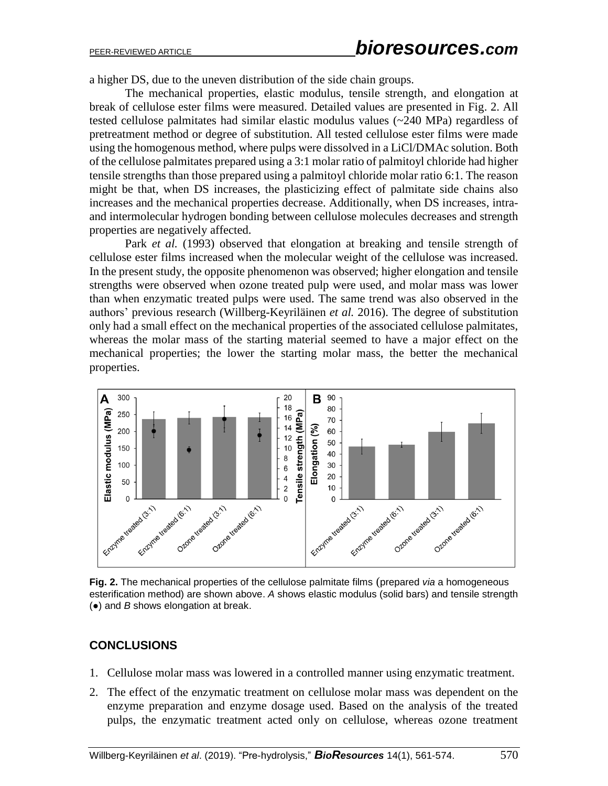a higher DS, due to the uneven distribution of the side chain groups.

The mechanical properties, elastic modulus, tensile strength, and elongation at break of cellulose ester films were measured. Detailed values are presented in Fig. 2. All tested cellulose palmitates had similar elastic modulus values (~240 MPa) regardless of pretreatment method or degree of substitution. All tested cellulose ester films were made using the homogenous method, where pulps were dissolved in a LiCl/DMAc solution. Both of the cellulose palmitates prepared using a 3:1 molar ratio of palmitoyl chloride had higher tensile strengths than those prepared using a palmitoyl chloride molar ratio 6:1. The reason might be that, when DS increases, the plasticizing effect of palmitate side chains also increases and the mechanical properties decrease. Additionally, when DS increases, intraand intermolecular hydrogen bonding between cellulose molecules decreases and strength properties are negatively affected.

Park *et al.* (1993) observed that elongation at breaking and tensile strength of cellulose ester films increased when the molecular weight of the cellulose was increased. In the present study, the opposite phenomenon was observed; higher elongation and tensile strengths were observed when ozone treated pulp were used, and molar mass was lower than when enzymatic treated pulps were used. The same trend was also observed in the authors' previous research (Willberg-Keyriläinen *et al.* 2016). The degree of substitution only had a small effect on the mechanical properties of the associated cellulose palmitates, whereas the molar mass of the starting material seemed to have a major effect on the mechanical properties; the lower the starting molar mass, the better the mechanical properties.



**Fig. 2.** The mechanical properties of the cellulose palmitate films (prepared *via* a homogeneous esterification method) are shown above. *A* shows elastic modulus (solid bars) and tensile strength (●) and *B* shows elongation at break.

# **CONCLUSIONS**

- 1. Cellulose molar mass was lowered in a controlled manner using enzymatic treatment.
- 2. The effect of the enzymatic treatment on cellulose molar mass was dependent on the enzyme preparation and enzyme dosage used. Based on the analysis of the treated pulps, the enzymatic treatment acted only on cellulose, whereas ozone treatment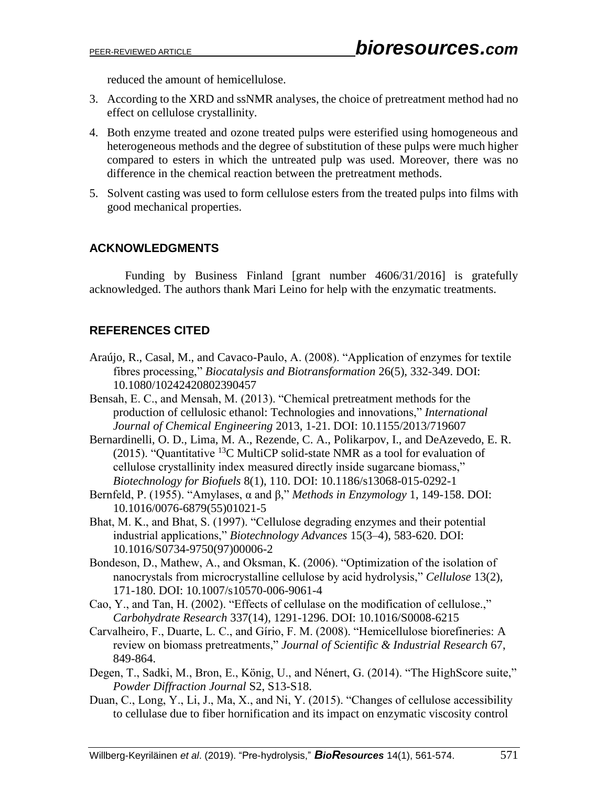reduced the amount of hemicellulose.

- 3. According to the XRD and ssNMR analyses, the choice of pretreatment method had no effect on cellulose crystallinity.
- 4. Both enzyme treated and ozone treated pulps were esterified using homogeneous and heterogeneous methods and the degree of substitution of these pulps were much higher compared to esters in which the untreated pulp was used. Moreover, there was no difference in the chemical reaction between the pretreatment methods.
- 5. Solvent casting was used to form cellulose esters from the treated pulps into films with good mechanical properties.

# **ACKNOWLEDGMENTS**

Funding by Business Finland [grant number 4606/31/2016] is gratefully acknowledged. The authors thank Mari Leino for help with the enzymatic treatments.

# **REFERENCES CITED**

- Araújo, R., Casal, M., and Cavaco-Paulo, A. (2008). "Application of enzymes for textile fibres processing," *Biocatalysis and Biotransformation* 26(5), 332-349. DOI: 10.1080/10242420802390457
- Bensah, E. C., and Mensah, M. (2013). "Chemical pretreatment methods for the production of cellulosic ethanol: Technologies and innovations," *International Journal of Chemical Engineering* 2013, 1-21. DOI: 10.1155/2013/719607
- Bernardinelli, O. D., Lima, M. A., Rezende, C. A., Polikarpov, I., and DeAzevedo, E. R. (2015). "Quantitative  ${}^{13}C$  MultiCP solid-state NMR as a tool for evaluation of cellulose crystallinity index measured directly inside sugarcane biomass," *Biotechnology for Biofuels* 8(1), 110. DOI: 10.1186/s13068-015-0292-1
- Bernfeld, P. (1955). "Amylases, α and β," *Methods in Enzymology* 1, 149-158. DOI: 10.1016/0076-6879(55)01021-5
- Bhat, M. K., and Bhat, S. (1997). "Cellulose degrading enzymes and their potential industrial applications," *Biotechnology Advances* 15(3–4), 583-620. DOI: 10.1016/S0734-9750(97)00006-2
- Bondeson, D., Mathew, A., and Oksman, K. (2006). "Optimization of the isolation of nanocrystals from microcrystalline cellulose by acid hydrolysis," *Cellulose* 13(2), 171-180. DOI: 10.1007/s10570-006-9061-4
- Cao, Y., and Tan, H. (2002). "Effects of cellulase on the modification of cellulose.," *Carbohydrate Research* 337(14), 1291-1296. DOI: 10.1016/S0008-6215
- Carvalheiro, F., Duarte, L. C., and Gírio, F. M. (2008). "Hemicellulose biorefineries: A review on biomass pretreatments," *Journal of Scientific & Industrial Research* 67, 849-864.
- Degen, T., Sadki, M., Bron, E., König, U., and Nénert, G. (2014). "The HighScore suite," *Powder Diffraction Journal* S2, S13-S18.
- Duan, C., Long, Y., Li, J., Ma, X., and Ni, Y. (2015). "Changes of cellulose accessibility to cellulase due to fiber hornification and its impact on enzymatic viscosity control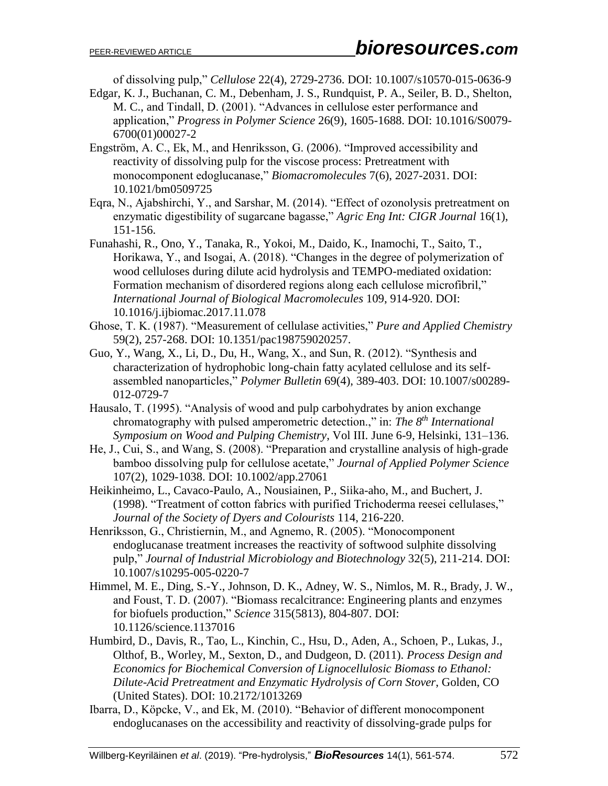of dissolving pulp," *Cellulose* 22(4), 2729-2736. DOI: 10.1007/s10570-015-0636-9

- Edgar, K. J., Buchanan, C. M., Debenham, J. S., Rundquist, P. A., Seiler, B. D., Shelton, M. C., and Tindall, D. (2001). "Advances in cellulose ester performance and application," *Progress in Polymer Science* 26(9), 1605-1688. DOI: 10.1016/S0079- 6700(01)00027-2
- Engström, A. C., Ek, M., and Henriksson, G. (2006). "Improved accessibility and reactivity of dissolving pulp for the viscose process: Pretreatment with monocomponent edoglucanase," *Biomacromolecules* 7(6), 2027-2031. DOI: 10.1021/bm0509725
- Eqra, N., Ajabshirchi, Y., and Sarshar, M. (2014). "Effect of ozonolysis pretreatment on enzymatic digestibility of sugarcane bagasse," *Agric Eng Int: CIGR Journal* 16(1), 151-156.
- Funahashi, R., Ono, Y., Tanaka, R., Yokoi, M., Daido, K., Inamochi, T., Saito, T., Horikawa, Y., and Isogai, A. (2018). "Changes in the degree of polymerization of wood celluloses during dilute acid hydrolysis and TEMPO-mediated oxidation: Formation mechanism of disordered regions along each cellulose microfibril," *International Journal of Biological Macromolecules* 109, 914-920. DOI: 10.1016/j.ijbiomac.2017.11.078
- Ghose, T. K. (1987). "Measurement of cellulase activities," *Pure and Applied Chemistry* 59(2), 257-268. DOI: 10.1351/pac198759020257.
- Guo, Y., Wang, X., Li, D., Du, H., Wang, X., and Sun, R. (2012). "Synthesis and characterization of hydrophobic long-chain fatty acylated cellulose and its selfassembled nanoparticles," *Polymer Bulletin* 69(4), 389-403. DOI: 10.1007/s00289- 012-0729-7
- Hausalo, T. (1995). "Analysis of wood and pulp carbohydrates by anion exchange chromatography with pulsed amperometric detection.," in: *The 8th International Symposium on Wood and Pulping Chemistry*, Vol III. June 6-9, Helsinki, 131–136.
- He, J., Cui, S., and Wang, S. (2008). "Preparation and crystalline analysis of high-grade bamboo dissolving pulp for cellulose acetate," *Journal of Applied Polymer Science* 107(2), 1029-1038. DOI: 10.1002/app.27061
- Heikinheimo, L., Cavaco-Paulo, A., Nousiainen, P., Siika-aho, M., and Buchert, J. (1998). "Treatment of cotton fabrics with purified Trichoderma reesei cellulases," *Journal of the Society of Dyers and Colourists* 114, 216-220.
- Henriksson, G., Christiernin, M., and Agnemo, R. (2005). "Monocomponent endoglucanase treatment increases the reactivity of softwood sulphite dissolving pulp," *Journal of Industrial Microbiology and Biotechnology* 32(5), 211-214. DOI: 10.1007/s10295-005-0220-7
- Himmel, M. E., Ding, S.-Y., Johnson, D. K., Adney, W. S., Nimlos, M. R., Brady, J. W., and Foust, T. D. (2007). "Biomass recalcitrance: Engineering plants and enzymes for biofuels production," *Science* 315(5813), 804-807. DOI: 10.1126/science.1137016
- Humbird, D., Davis, R., Tao, L., Kinchin, C., Hsu, D., Aden, A., Schoen, P., Lukas, J., Olthof, B., Worley, M., Sexton, D., and Dudgeon, D. (2011). *Process Design and Economics for Biochemical Conversion of Lignocellulosic Biomass to Ethanol: Dilute-Acid Pretreatment and Enzymatic Hydrolysis of Corn Stover*, Golden, CO (United States). DOI: 10.2172/1013269
- Ibarra, D., Köpcke, V., and Ek, M. (2010). "Behavior of different monocomponent endoglucanases on the accessibility and reactivity of dissolving-grade pulps for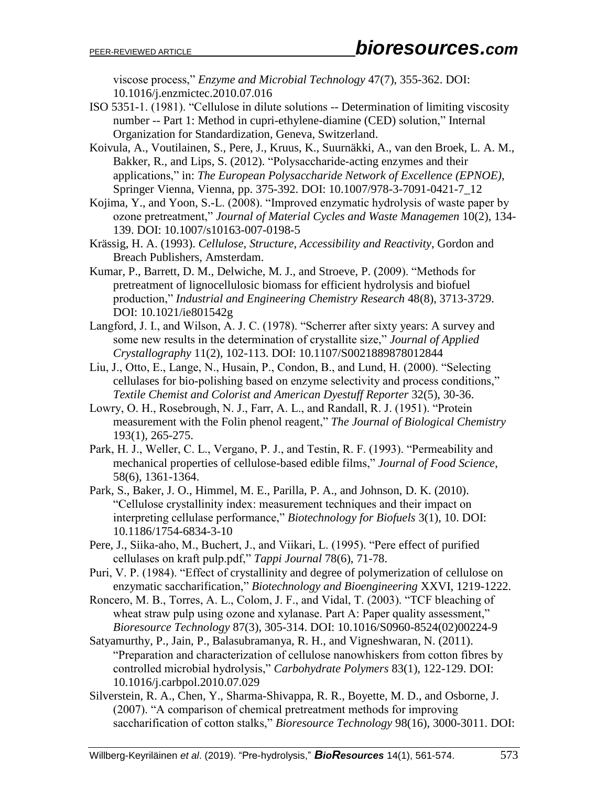viscose process," *Enzyme and Microbial Technology* 47(7), 355-362. DOI: 10.1016/j.enzmictec.2010.07.016

ISO 5351-1. (1981). "Cellulose in dilute solutions -- Determination of limiting viscosity number -- Part 1: Method in cupri-ethylene-diamine (CED) solution," Internal Organization for Standardization, Geneva, Switzerland.

Koivula, A., Voutilainen, S., Pere, J., Kruus, K., Suurnäkki, A., van den Broek, L. A. M., Bakker, R., and Lips, S. (2012). "Polysaccharide-acting enzymes and their applications," in: *The European Polysaccharide Network of Excellence (EPNOE)*, Springer Vienna, Vienna, pp. 375-392. DOI: 10.1007/978-3-7091-0421-7\_12

- Kojima, Y., and Yoon, S.-L. (2008). "Improved enzymatic hydrolysis of waste paper by ozone pretreatment," *Journal of Material Cycles and Waste Managemen* 10(2), 134- 139. DOI: 10.1007/s10163-007-0198-5
- Krässig, H. A. (1993). *Cellulose, Structure, Accessibility and Reactivity*, Gordon and Breach Publishers, Amsterdam.
- Kumar, P., Barrett, D. M., Delwiche, M. J., and Stroeve, P. (2009). "Methods for pretreatment of lignocellulosic biomass for efficient hydrolysis and biofuel production," *Industrial and Engineering Chemistry Research* 48(8), 3713-3729. DOI: 10.1021/ie801542g
- Langford, J. I., and Wilson, A. J. C. (1978). "Scherrer after sixty years: A survey and some new results in the determination of crystallite size," *Journal of Applied Crystallography* 11(2), 102-113. DOI: 10.1107/S0021889878012844
- Liu, J., Otto, E., Lange, N., Husain, P., Condon, B., and Lund, H. (2000). "Selecting cellulases for bio-polishing based on enzyme selectivity and process conditions," *Textile Chemist and Colorist and American Dyestuff Reporter* 32(5), 30-36.
- Lowry, O. H., Rosebrough, N. J., Farr, A. L., and Randall, R. J. (1951). "Protein measurement with the Folin phenol reagent," *The Journal of Biological Chemistry* 193(1), 265-275.
- Park, H. J., Weller, C. L., Vergano, P. J., and Testin, R. F. (1993). "Permeability and mechanical properties of cellulose-based edible films," *Journal of Food Science*, 58(6), 1361-1364.
- Park, S., Baker, J. O., Himmel, M. E., Parilla, P. A., and Johnson, D. K. (2010). "Cellulose crystallinity index: measurement techniques and their impact on interpreting cellulase performance," *Biotechnology for Biofuels* 3(1), 10. DOI: 10.1186/1754-6834-3-10
- Pere, J., Siika-aho, M., Buchert, J., and Viikari, L. (1995). "Pere effect of purified cellulases on kraft pulp.pdf," *Tappi Journal* 78(6), 71-78.
- Puri, V. P. (1984). "Effect of crystallinity and degree of polymerization of cellulose on enzymatic saccharification," *Biotechnology and Bioengineering* XXVI, 1219-1222.
- Roncero, M. B., Torres, A. L., Colom, J. F., and Vidal, T. (2003). "TCF bleaching of wheat straw pulp using ozone and xylanase. Part A: Paper quality assessment," *Bioresource Technology* 87(3), 305-314. DOI: 10.1016/S0960-8524(02)00224-9
- Satyamurthy, P., Jain, P., Balasubramanya, R. H., and Vigneshwaran, N. (2011). "Preparation and characterization of cellulose nanowhiskers from cotton fibres by controlled microbial hydrolysis," *Carbohydrate Polymers* 83(1), 122-129. DOI: 10.1016/j.carbpol.2010.07.029
- Silverstein, R. A., Chen, Y., Sharma-Shivappa, R. R., Boyette, M. D., and Osborne, J. (2007). "A comparison of chemical pretreatment methods for improving saccharification of cotton stalks," *Bioresource Technology* 98(16), 3000-3011. DOI: